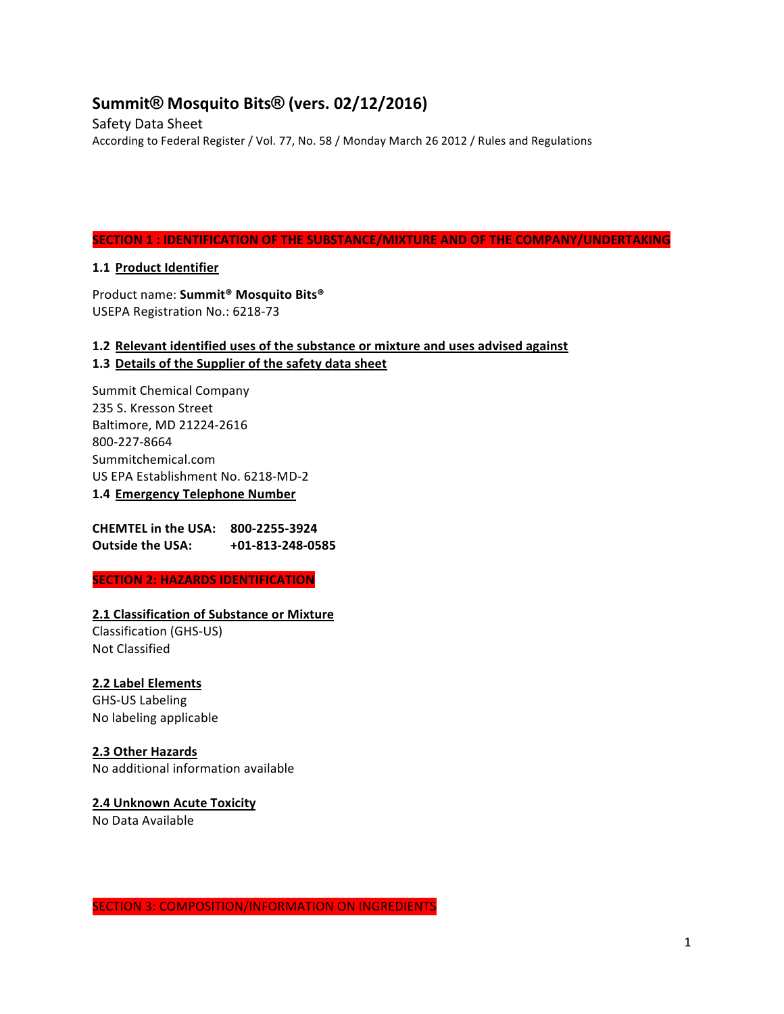# **Summit® Mosquito Bits® (vers. 02/12/2016)**

Safety Data Sheet According to Federal Register / Vol. 77, No. 58 / Monday March 26 2012 / Rules and Regulations

#### **SECTION 1 : IDENTIFICATION OF THE SUBSTANCE/MIXTURE AND OF THE COMPANY/UNDERTAKING**

#### **1.1 Product Identifier**

Product name: Summit<sup>®</sup> Mosquito Bits<sup>®</sup> USEPA Registration No.: 6218-73

## **1.2** Relevant identified uses of the substance or mixture and uses advised against 1.3 Details of the Supplier of the safety data sheet

Summit Chemical Company 235 S. Kresson Street Baltimore, MD 21224-2616 800-227-8664 Summitchemical.com US EPA Establishment No. 6218-MD-2 **1.4 Emergency Telephone Number**

**CHEMTEL in the USA: 800-2255-3924 Outside the USA:**  $+01-813-248-0585$ 

#### **SECTION 2: HAZARDS IDENTIFICATION**

#### **2.1 Classification of Substance or Mixture**

Classification (GHS-US) **Not Classified** 

#### **2.2 Label Elements**

GHS-US Labeling No labeling applicable

#### **2.3 Other Hazards**

No additional information available

#### **2.4 Unknown Acute Toxicity** No Data Available

SECTION 3: COMPOSITION/INFORMATION ON INGREDIENTS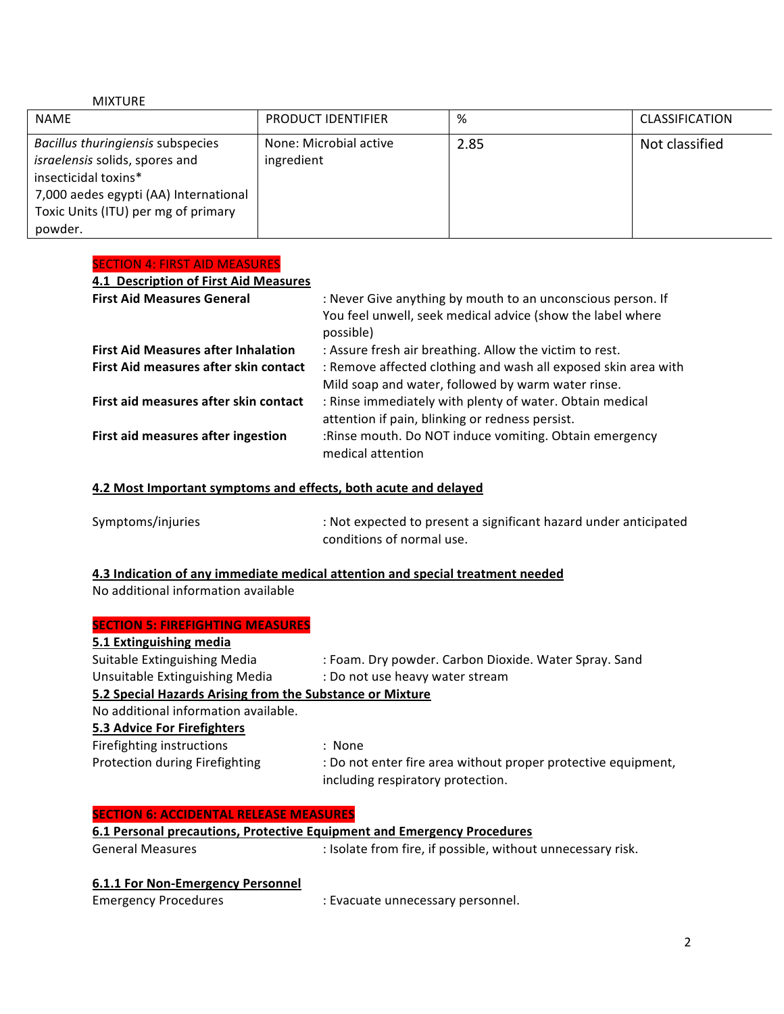#### MIXTURE

| <b>NAME</b>                                                                                                                                                                            | <b>PRODUCT IDENTIFIER</b>            | %    | <b>CLASSIFICATION</b> |
|----------------------------------------------------------------------------------------------------------------------------------------------------------------------------------------|--------------------------------------|------|-----------------------|
| Bacillus thuringiensis subspecies<br>israelensis solids, spores and<br>insecticidal toxins*<br>7,000 aedes egypti (AA) International<br>Toxic Units (ITU) per mg of primary<br>powder. | None: Microbial active<br>ingredient | 2.85 | Not classified        |

# SECTION 4: FIRST AID MEASURES

| 4.1 Description of First Aid Measures      |                                                                                                                                        |
|--------------------------------------------|----------------------------------------------------------------------------------------------------------------------------------------|
| <b>First Aid Measures General</b>          | : Never Give anything by mouth to an unconscious person. If<br>You feel unwell, seek medical advice (show the label where<br>possible) |
| <b>First Aid Measures after Inhalation</b> | : Assure fresh air breathing. Allow the victim to rest.                                                                                |
| First Aid measures after skin contact      | : Remove affected clothing and wash all exposed skin area with<br>Mild soap and water, followed by warm water rinse.                   |
| First aid measures after skin contact      | : Rinse immediately with plenty of water. Obtain medical<br>attention if pain, blinking or redness persist.                            |
| First aid measures after ingestion         | :Rinse mouth. Do NOT induce vomiting. Obtain emergency<br>medical attention                                                            |
|                                            |                                                                                                                                        |

#### **4.2 Most Important symptoms and effects, both acute and delayed**

| Symptoms/injuries | : Not expected to present a significant hazard under anticipated |
|-------------------|------------------------------------------------------------------|
|                   | conditions of normal use.                                        |

## **4.3 Indication of any immediate medical attention and special treatment needed** No additional information available

| <b>SECTION 5: FIREFIGHTING MEASURES</b>                   |                                                                                                    |
|-----------------------------------------------------------|----------------------------------------------------------------------------------------------------|
| 5.1 Extinguishing media                                   |                                                                                                    |
| Suitable Extinguishing Media                              | : Foam. Dry powder. Carbon Dioxide. Water Spray. Sand                                              |
| Unsuitable Extinguishing Media                            | : Do not use heavy water stream                                                                    |
| 5.2 Special Hazards Arising from the Substance or Mixture |                                                                                                    |
| No additional information available.                      |                                                                                                    |
| 5.3 Advice For Firefighters                               |                                                                                                    |
| Firefighting instructions                                 | : None                                                                                             |
| Protection during Firefighting                            | : Do not enter fire area without proper protective equipment,<br>including respiratory protection. |

#### **SECTION 6: ACCIDENTAL RELEASE MEASURES**

# **6.1 Personal precautions, Protective Equipment and Emergency Procedures** General Measures **Superset Exercise :** Isolate from fire, if possible, without unnecessary risk.

# **6.1.1 For Non-Emergency Personnel**

| <b>Emergency Procedures</b> | : Evacuate unnecessary personnel. |
|-----------------------------|-----------------------------------|
|                             |                                   |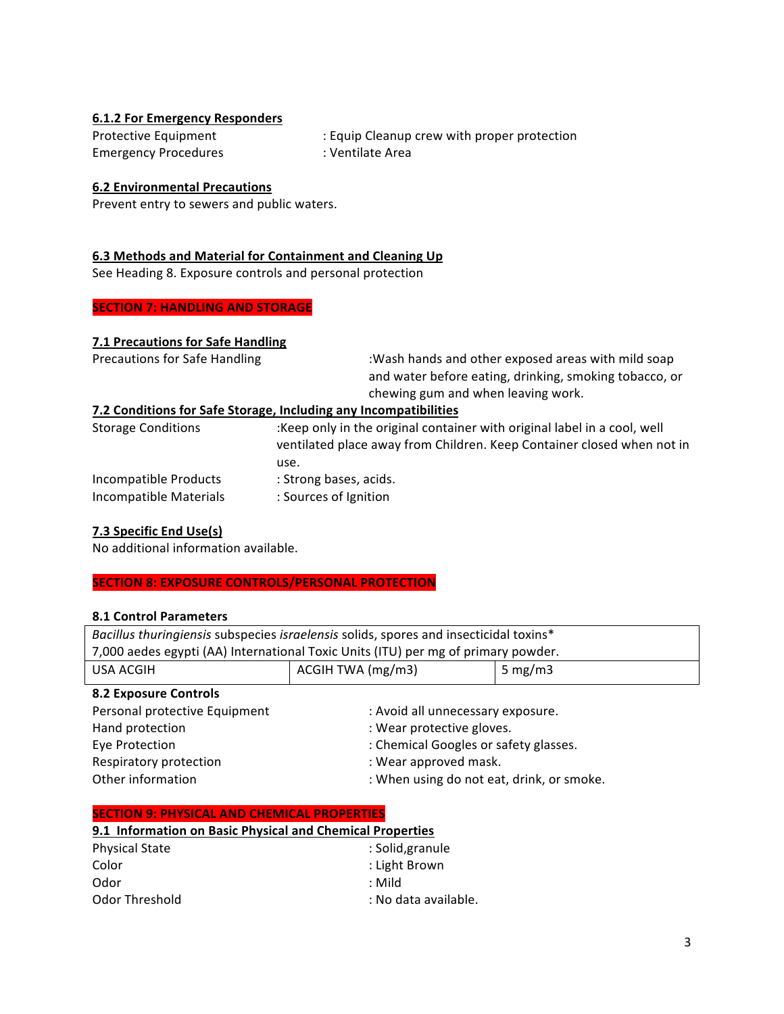## **6.1.2 For Emergency Responders**

| Protective Equipment        | : Equip Cleanup crew with proper protection |
|-----------------------------|---------------------------------------------|
| <b>Emergency Procedures</b> | : Ventilate Area                            |

#### **6.2 Environmental Precautions**

Prevent entry to sewers and public waters.

#### **6.3 Methods and Material for Containment and Cleaning Up**

See Heading 8. Exposure controls and personal protection

# **SECTION 7: HANDLING AND STORAGE**

#### **7.1 Precautions for Safe Handling**

| <b>Precautions for Safe Handling</b>            | :Wash hands and other exposed areas with mild soap<br>and water before eating, drinking, smoking tobacco, or<br>chewing gum and when leaving work.         |  |
|-------------------------------------------------|------------------------------------------------------------------------------------------------------------------------------------------------------------|--|
|                                                 | 7.2 Conditions for Safe Storage, Including any Incompatibilities                                                                                           |  |
| <b>Storage Conditions</b>                       | :Keep only in the original container with original label in a cool, well<br>ventilated place away from Children. Keep Container closed when not in<br>use. |  |
| Incompatible Products<br>Incompatible Materials | : Strong bases, acids.<br>: Sources of Ignition                                                                                                            |  |

#### **7.3 Specific End Use(s)**

No additional information available.

#### **SECTION 8: EXPOSURE CONTROLS/PERSONAL PROTECTION**

#### **8.1 Control Parameters**

| Bacillus thuringiensis subspecies israelensis solids, spores and insecticidal toxins* |                                           |            |
|---------------------------------------------------------------------------------------|-------------------------------------------|------------|
| 7,000 aedes egypti (AA) International Toxic Units (ITU) per mg of primary powder.     |                                           |            |
| <b>USA ACGIH</b>                                                                      | ACGIH TWA (mg/m3)                         | 5 mg/m $3$ |
| <b>8.2 Exposure Controls</b>                                                          |                                           |            |
| Personal protective Equipment                                                         | : Avoid all unnecessary exposure.         |            |
| Hand protection                                                                       | : Wear protective gloves.                 |            |
| Eye Protection                                                                        | : Chemical Googles or safety glasses.     |            |
| Respiratory protection                                                                | : Wear approved mask.                     |            |
| Other information                                                                     | : When using do not eat, drink, or smoke. |            |

| <b>SECTION 9: PHYSICAL AND CHEMICAL PROPERTIES</b>        |                      |
|-----------------------------------------------------------|----------------------|
| 9.1 Information on Basic Physical and Chemical Properties |                      |
| <b>Physical State</b>                                     | : Solid, granule     |
| Color                                                     | : Light Brown        |
| Odor                                                      | : Mild               |
| Odor Threshold                                            | : No data available. |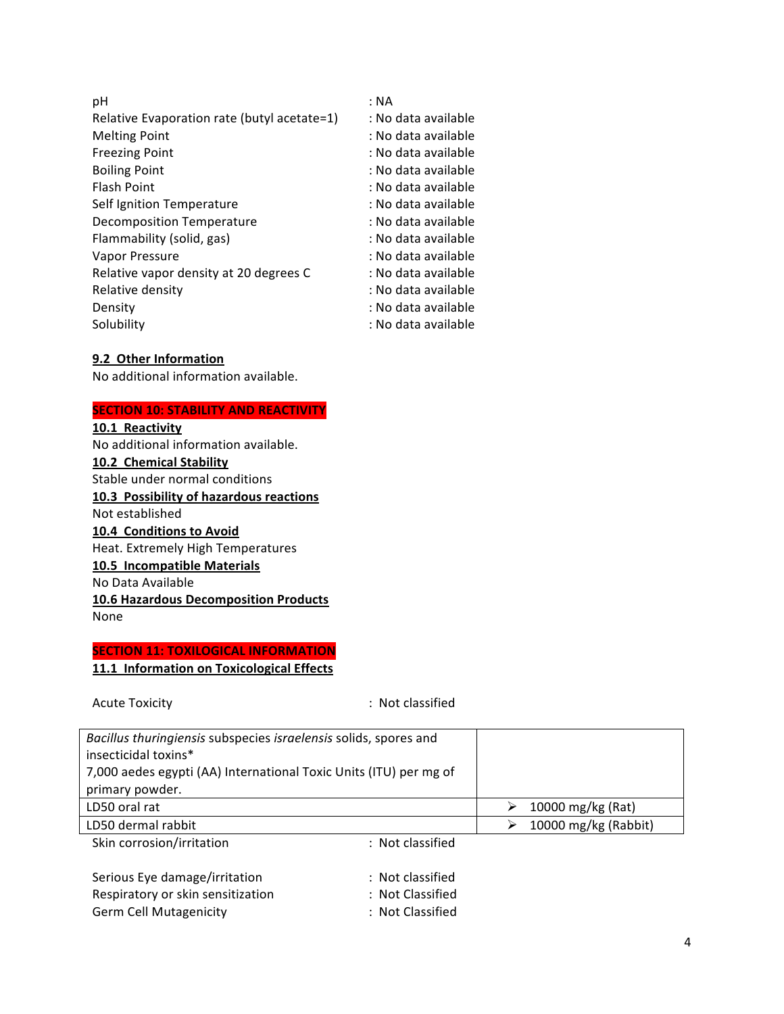| : NA                |
|---------------------|
| : No data available |
| : No data available |
| : No data available |
| : No data available |
| : No data available |
| : No data available |
| : No data available |
| : No data available |
| : No data available |
| : No data available |
| : No data available |
| : No data available |
| : No data available |
|                     |

#### **9.2 Other Information**

No additional information available.

# **SECTION 10: STABILITY AND REACTIVITY**

**10.1 Reactivity** No additional information available. **10.2 Chemical Stability** Stable under normal conditions **10.3 Possibility of hazardous reactions** Not established **10.4 Conditions to Avoid** Heat. Extremely High Temperatures **10.5 Incompatible Materials** No Data Available **10.6 Hazardous Decomposition Products** None

# **SECTION 11: TOXILOGICAL INFORMATION 11.1 Information on Toxicological Effects**

| <b>Acute Toxicity</b>                                             | : Not classified |                           |
|-------------------------------------------------------------------|------------------|---------------------------|
| Bacillus thuringiensis subspecies israelensis solids, spores and  |                  |                           |
| insecticidal toxins*                                              |                  |                           |
| 7,000 aedes egypti (AA) International Toxic Units (ITU) per mg of |                  |                           |
| primary powder.                                                   |                  |                           |
| LD50 oral rat                                                     |                  | 10000 mg/kg (Rat)<br>➤    |
| LD50 dermal rabbit                                                |                  | 10000 mg/kg (Rabbit)<br>⋗ |
| Skin corrosion/irritation                                         | : Not classified |                           |
| Serious Eye damage/irritation                                     | : Not classified |                           |
| Respiratory or skin sensitization                                 | : Not Classified |                           |
| <b>Germ Cell Mutagenicity</b>                                     | : Not Classified |                           |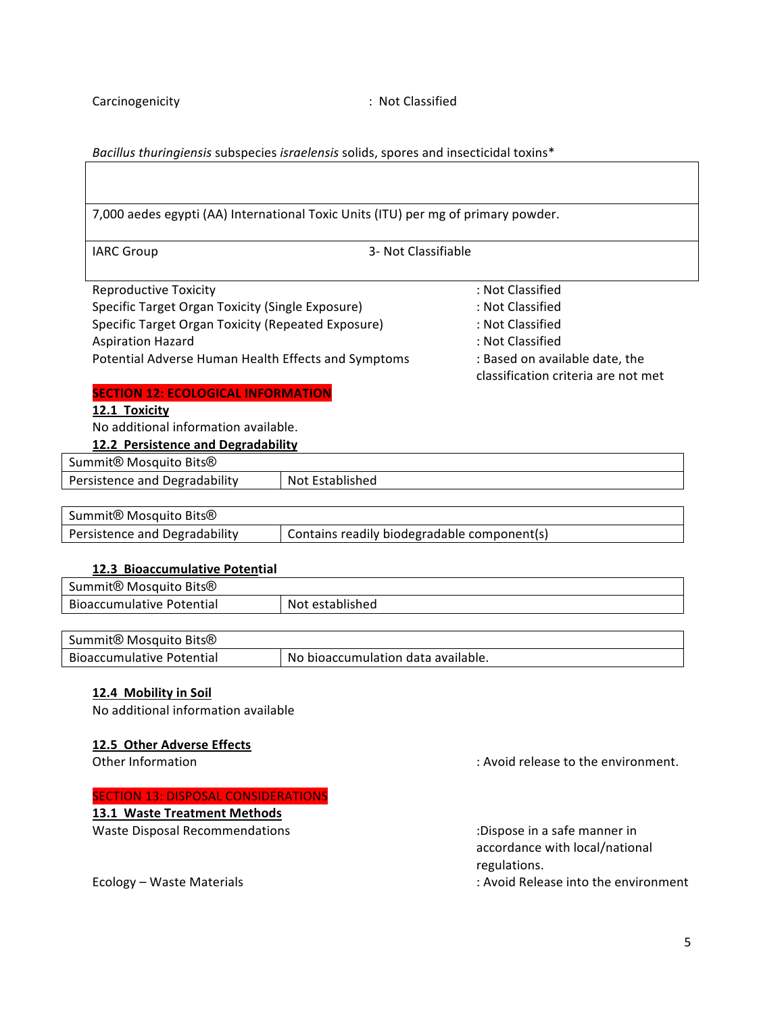#### Bacillus thuringiensis subspecies israelensis solids, spores and insecticidal toxins\*

7,000 aedes egypti (AA) International Toxic Units (ITU) per mg of primary powder.

IARC Group 3- Not Classifiable

| <b>Reproductive Toxicity</b>                       |
|----------------------------------------------------|
| Specific Target Organ Toxicity (Single Exposure)   |
| Specific Target Organ Toxicity (Repeated Exposure) |
| <b>Aspiration Hazard</b>                           |
| Potential Adverse Human Health Effects and Symptom |
|                                                    |

: Not Classified : Not Classified : Not Classified : Not Classified s extending the standard conducts in Based on available date, the classification criteria are not met

#### **SECTION 12: ECOLOGICAL INFORMATION**

#### **12.1 Toxicity**

No additional information available.

#### **12.2 Persistence and Degradability**

Summit<sup>®</sup> Mosquito Bits<sup>®</sup>

| Persistence and Degradability | Not Established |
|-------------------------------|-----------------|
|                               |                 |

| Summit <sup>®</sup> Mosquito Bits <sup>®</sup> |                                             |
|------------------------------------------------|---------------------------------------------|
| Persistence and Degradability                  | Contains readily biodegradable component(s) |

#### **12.3 Bioaccumulative Potential**

| Summit <sup>®</sup> Mosquito Bits <sup>®</sup> |                 |
|------------------------------------------------|-----------------|
| <b>Bioaccumulative Potential</b>               | Not established |

| Summit <sup>®</sup> Mosquito Bits <sup>®</sup> |                                    |
|------------------------------------------------|------------------------------------|
| <b>Bioaccumulative Potential</b>               | No bioaccumulation data available. |

#### **12.4 Mobility in Soil**

No additional information available

#### **12.5 Other Adverse Effects**

#### **SECTION 13: DISPOSAL CONSIDERATIONS**

**13.1 Waste Treatment Methods** 

Waste Disposal Recommendations in the commendations of the control of the control of the control of the control of the control of the control of the control of the control of the control of the control of the control of th

Other Information **Contract Contract Contract Contract Contract Contract Contract Contract Contract Contract Contract Contract Contract Contract Contract Contract Contract Contract Contract Contract Contract Contract Contr** 

accordance with local/national regulations.

Ecology – Waste Materials into the environment into the environment